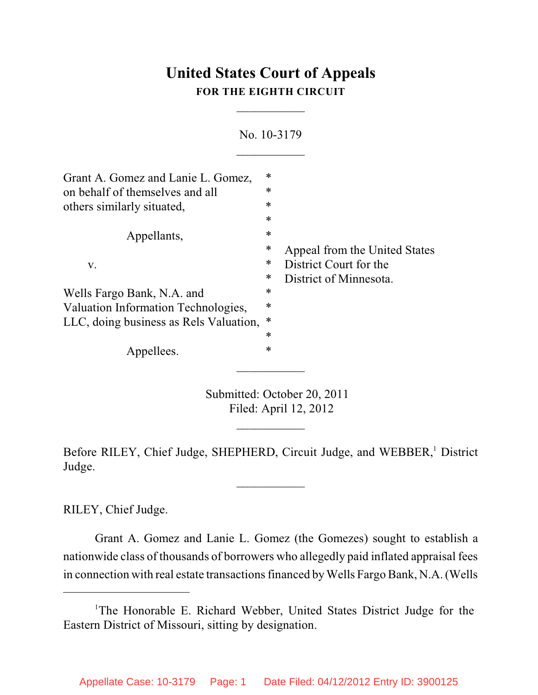# **United States Court of Appeals FOR THE EIGHTH CIRCUIT**

 $\overline{\phantom{a}}$  . The set of the set of the set of the set of the set of the set of the set of the set of the set of the set of the set of the set of the set of the set of the set of the set of the set of the set of the set o

|                                        |        | No. 10-3179                   |
|----------------------------------------|--------|-------------------------------|
|                                        |        |                               |
| Grant A. Gomez and Lanie L. Gomez,     | *      |                               |
| on behalf of themselves and all        | ∗      |                               |
| others similarly situated,             | *      |                               |
|                                        | $\ast$ |                               |
| Appellants,                            | *      |                               |
|                                        | *      | Appeal from the United States |
| V.                                     | *      | District Court for the        |
|                                        | *      | District of Minnesota.        |
| Wells Fargo Bank, N.A. and             | *      |                               |
| Valuation Information Technologies,    | *      |                               |
| LLC, doing business as Rels Valuation, | $\ast$ |                               |
|                                        | ∗      |                               |
| Appellees.                             | *      |                               |

Submitted: October 20, 2011 Filed: April 12, 2012

Before RILEY, Chief Judge, SHEPHERD, Circuit Judge, and WEBBER,<sup>1</sup> District Judge.

 $\overline{\phantom{a}}$  . The set of the set of the set of the set of the set of the set of the set of the set of the set of the set of the set of the set of the set of the set of the set of the set of the set of the set of the set o

 $\frac{1}{2}$ 

RILEY, Chief Judge.

Grant A. Gomez and Lanie L. Gomez (the Gomezes) sought to establish a nationwide class of thousands of borrowers who allegedly paid inflated appraisal fees in connection with real estate transactions financed by Wells Fargo Bank, N.A. (Wells

<sup>&</sup>lt;sup>1</sup>The Honorable E. Richard Webber, United States District Judge for the Eastern District of Missouri, sitting by designation.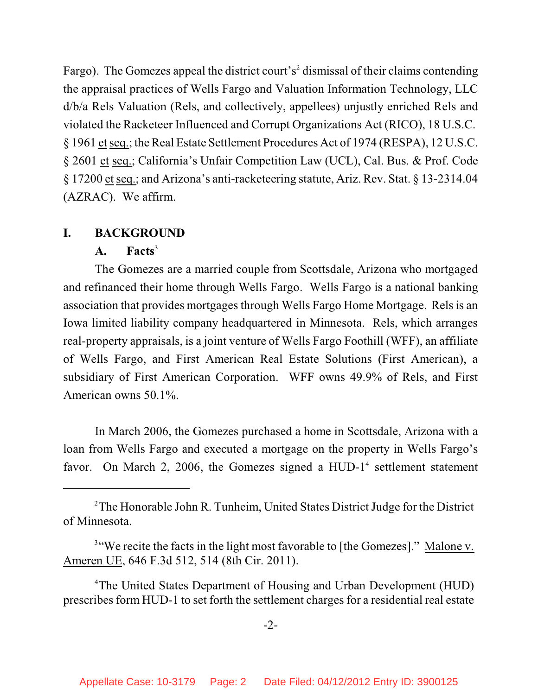Fargo). The Gomezes appeal the district court's<sup>2</sup> dismissal of their claims contending the appraisal practices of Wells Fargo and Valuation Information Technology, LLC d/b/a Rels Valuation (Rels, and collectively, appellees) unjustly enriched Rels and violated the Racketeer Influenced and Corrupt Organizations Act (RICO), 18 U.S.C. § 1961 etseq.; the Real Estate Settlement Procedures Act of 1974 (RESPA), 12 U.S.C. § 2601 et seq.; California's Unfair Competition Law (UCL), Cal. Bus. & Prof. Code § 17200 etseq.; and Arizona's anti-racketeering statute, Ariz. Rev. Stat. § 13-2314.04 (AZRAC). We affirm.

## **I. BACKGROUND**

# **A. Facts**<sup>3</sup>

The Gomezes are a married couple from Scottsdale, Arizona who mortgaged and refinanced their home through Wells Fargo. Wells Fargo is a national banking association that provides mortgages through Wells Fargo Home Mortgage. Rels is an Iowa limited liability company headquartered in Minnesota. Rels, which arranges real-property appraisals, is a joint venture of Wells Fargo Foothill (WFF), an affiliate of Wells Fargo, and First American Real Estate Solutions (First American), a subsidiary of First American Corporation. WFF owns 49.9% of Rels, and First American owns 50.1%.

In March 2006, the Gomezes purchased a home in Scottsdale, Arizona with a loan from Wells Fargo and executed a mortgage on the property in Wells Fargo's favor. On March 2, 2006, the Gomezes signed a  $HUD-1<sup>4</sup>$  settlement statement

 $2$ The Honorable John R. Tunheim, United States District Judge for the District of Minnesota.

<sup>&</sup>lt;sup>3"</sup>We recite the facts in the light most favorable to [the Gomezes]." Malone v. Ameren UE, 646 F.3d 512, 514 (8th Cir. 2011).

<sup>&</sup>lt;sup>4</sup>The United States Department of Housing and Urban Development (HUD) prescribes form HUD-1 to set forth the settlement charges for a residential real estate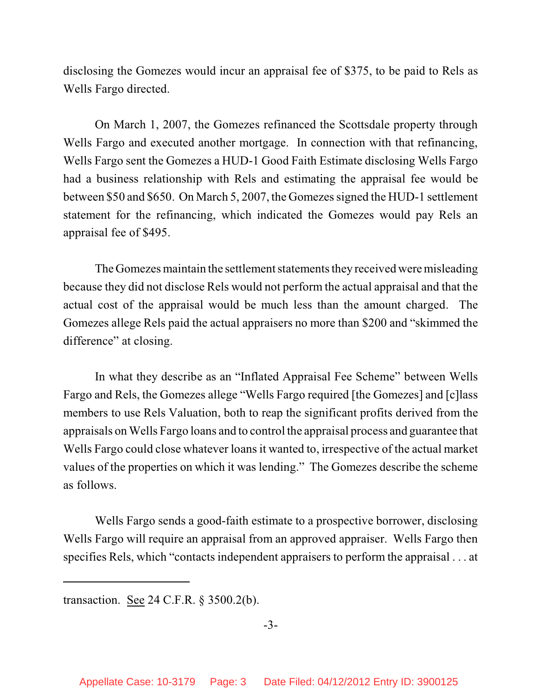disclosing the Gomezes would incur an appraisal fee of \$375, to be paid to Rels as Wells Fargo directed.

On March 1, 2007, the Gomezes refinanced the Scottsdale property through Wells Fargo and executed another mortgage. In connection with that refinancing, Wells Fargo sent the Gomezes a HUD-1 Good Faith Estimate disclosing Wells Fargo had a business relationship with Rels and estimating the appraisal fee would be between \$50 and \$650. On March 5, 2007, the Gomezes signed the HUD-1 settlement statement for the refinancing, which indicated the Gomezes would pay Rels an appraisal fee of \$495.

The Gomezes maintain the settlement statements they received were misleading because they did not disclose Rels would not perform the actual appraisal and that the actual cost of the appraisal would be much less than the amount charged. The Gomezes allege Rels paid the actual appraisers no more than \$200 and "skimmed the difference" at closing.

In what they describe as an "Inflated Appraisal Fee Scheme" between Wells Fargo and Rels, the Gomezes allege "Wells Fargo required [the Gomezes] and [c]lass members to use Rels Valuation, both to reap the significant profits derived from the appraisals on Wells Fargo loans and to control the appraisal process and guarantee that Wells Fargo could close whatever loans it wanted to, irrespective of the actual market values of the properties on which it was lending." The Gomezes describe the scheme as follows.

Wells Fargo sends a good-faith estimate to a prospective borrower, disclosing Wells Fargo will require an appraisal from an approved appraiser. Wells Fargo then specifies Rels, which "contacts independent appraisers to perform the appraisal . . . at

transaction. See 24 C.F.R. § 3500.2(b).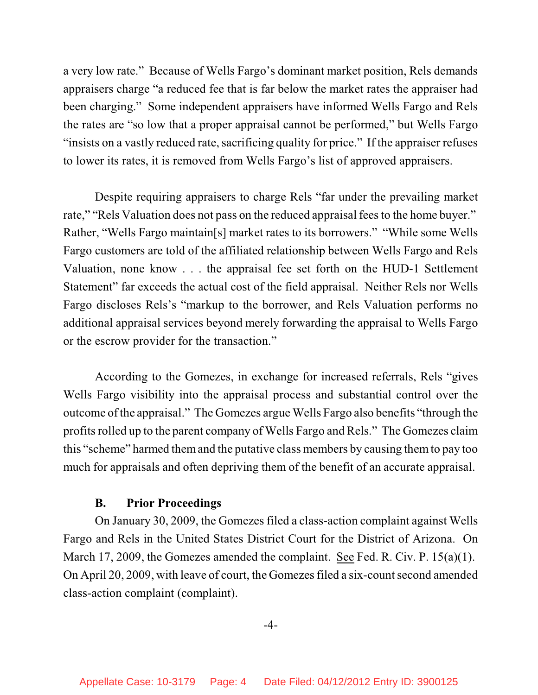a very low rate." Because of Wells Fargo's dominant market position, Rels demands appraisers charge "a reduced fee that is far below the market rates the appraiser had been charging." Some independent appraisers have informed Wells Fargo and Rels the rates are "so low that a proper appraisal cannot be performed," but Wells Fargo "insists on a vastly reduced rate, sacrificing quality for price." If the appraiser refuses to lower its rates, it is removed from Wells Fargo's list of approved appraisers.

Despite requiring appraisers to charge Rels "far under the prevailing market rate," "Rels Valuation does not pass on the reduced appraisal feesto the home buyer." Rather, "Wells Fargo maintain[s] market rates to its borrowers." "While some Wells Fargo customers are told of the affiliated relationship between Wells Fargo and Rels Valuation, none know . . . the appraisal fee set forth on the HUD-1 Settlement Statement" far exceeds the actual cost of the field appraisal. Neither Rels nor Wells Fargo discloses Rels's "markup to the borrower, and Rels Valuation performs no additional appraisal services beyond merely forwarding the appraisal to Wells Fargo or the escrow provider for the transaction."

According to the Gomezes, in exchange for increased referrals, Rels "gives Wells Fargo visibility into the appraisal process and substantial control over the outcome ofthe appraisal." The Gomezes argue Wells Fargo also benefits "through the profits rolled up to the parent company of Wells Fargo and Rels." The Gomezes claim this "scheme" harmed themand the putative class members by causing themto pay too much for appraisals and often depriving them of the benefit of an accurate appraisal.

## **B. Prior Proceedings**

On January 30, 2009, the Gomezes filed a class-action complaint against Wells Fargo and Rels in the United States District Court for the District of Arizona. On March 17, 2009, the Gomezes amended the complaint. See Fed. R. Civ. P. 15(a)(1). On April 20, 2009, with leave of court, the Gomezesfiled a six-count second amended class-action complaint (complaint).

-4-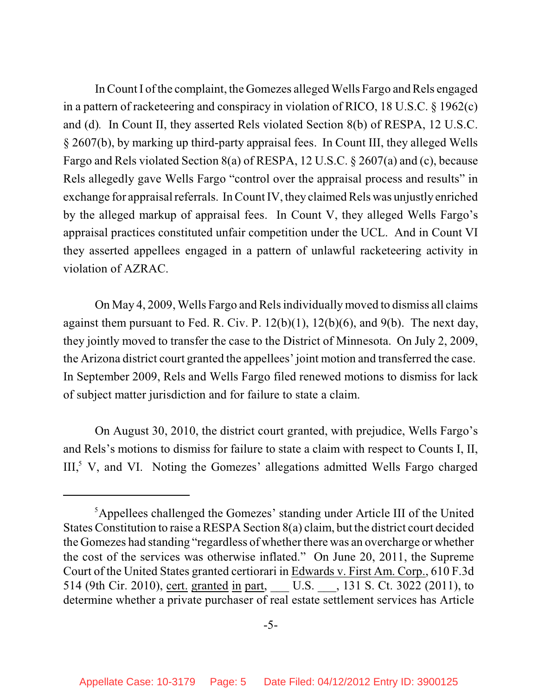In Count I of the complaint, the Gomezes alleged Wells Fargo and Rels engaged in a pattern of racketeering and conspiracy in violation of RICO, 18 U.S.C. § 1962(c) and (d)*.* In Count II, they asserted Rels violated Section 8(b) of RESPA, 12 U.S.C. § 2607(b), by marking up third-party appraisal fees. In Count III, they alleged Wells Fargo and Rels violated Section 8(a) of RESPA, 12 U.S.C. § 2607(a) and (c), because Rels allegedly gave Wells Fargo "control over the appraisal process and results" in exchange for appraisal referrals. In Count IV, they claimed Rels was unjustly enriched by the alleged markup of appraisal fees. In Count V, they alleged Wells Fargo's appraisal practices constituted unfair competition under the UCL. And in Count VI they asserted appellees engaged in a pattern of unlawful racketeering activity in violation of AZRAC.

On May 4, 2009, Wells Fargo and Rels individually moved to dismiss all claims against them pursuant to Fed. R. Civ. P. 12(b)(1), 12(b)(6), and 9(b).The next day, they jointly moved to transfer the case to the District of Minnesota. On July 2, 2009, the Arizona district court granted the appellees' joint motion and transferred the case. In September 2009, Rels and Wells Fargo filed renewed motions to dismiss for lack of subject matter jurisdiction and for failure to state a claim.

On August 30, 2010, the district court granted, with prejudice, Wells Fargo's and Rels's motions to dismiss for failure to state a claim with respect to Counts I, II,  $III<sub>2</sub><sup>5</sup>$  V, and VI. Noting the Gomezes' allegations admitted Wells Fargo charged

<sup>&</sup>lt;sup>5</sup>Appellees challenged the Gomezes' standing under Article III of the United States Constitution to raise a RESPA Section 8(a) claim, but the district court decided the Gomezes had standing "regardless of whether there was an overcharge or whether the cost of the services was otherwise inflated." On June 20, 2011, the Supreme Court of the United States granted certiorari in Edwards v. First Am. Corp., 610 F.3d 514 (9th Cir. 2010), cert. granted in part, U.S. , 131 S. Ct. 3022 (2011), to determine whether a private purchaser of real estate settlement services has Article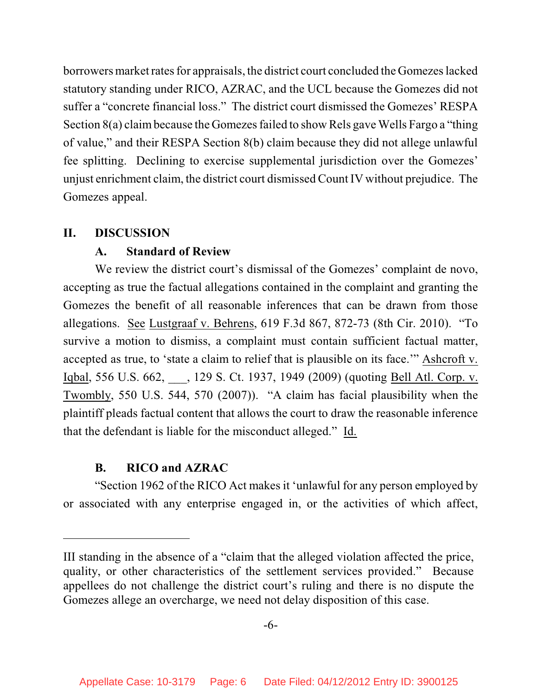borrowers market rates for appraisals, the district court concluded the Gomezes lacked statutory standing under RICO, AZRAC, and the UCL because the Gomezes did not suffer a "concrete financial loss." The district court dismissed the Gomezes' RESPA Section 8(a) claim because the Gomezes failed to show Rels gave Wells Fargo a "thing" of value," and their RESPA Section 8(b) claim because they did not allege unlawful fee splitting. Declining to exercise supplemental jurisdiction over the Gomezes' unjust enrichment claim, the district court dismissed Count IV without prejudice. The Gomezes appeal.

#### **II. DISCUSSION**

## **A. Standard of Review**

We review the district court's dismissal of the Gomezes' complaint de novo, accepting as true the factual allegations contained in the complaint and granting the Gomezes the benefit of all reasonable inferences that can be drawn from those allegations. See Lustgraaf v. Behrens, 619 F.3d 867, 872-73 (8th Cir. 2010). "To survive a motion to dismiss, a complaint must contain sufficient factual matter, accepted as true, to 'state a claim to relief that is plausible on its face.'" Ashcroft v. Iqbal, 556 U.S. 662, 129 S. Ct. 1937, 1949 (2009) (quoting Bell Atl. Corp. v. Twombly, 550 U.S. 544, 570 (2007)). "A claim has facial plausibility when the plaintiff pleads factual content that allows the court to draw the reasonable inference that the defendant is liable for the misconduct alleged." Id.

## **B. RICO and AZRAC**

"Section 1962 of the RICO Act makes it 'unlawful for any person employed by or associated with any enterprise engaged in, or the activities of which affect,

III standing in the absence of a "claim that the alleged violation affected the price, quality, or other characteristics of the settlement services provided." Because appellees do not challenge the district court's ruling and there is no dispute the Gomezes allege an overcharge, we need not delay disposition of this case.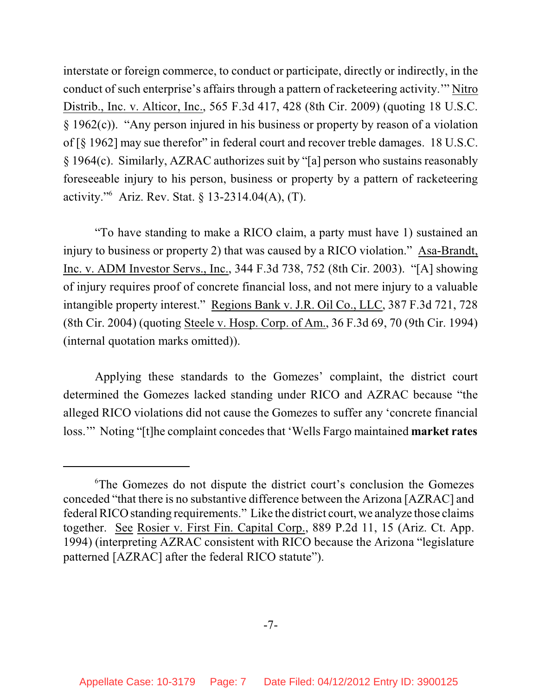interstate or foreign commerce, to conduct or participate, directly or indirectly, in the conduct of such enterprise's affairs through a pattern of racketeering activity.'" Nitro Distrib., Inc. v. Alticor, Inc., 565 F.3d 417, 428 (8th Cir. 2009) (quoting 18 U.S.C. § 1962(c)). "Any person injured in his business or property by reason of a violation of [§ 1962] may sue therefor" in federal court and recover treble damages. 18 U.S.C. § 1964(c). Similarly, AZRAC authorizes suit by "[a] person who sustains reasonably foreseeable injury to his person, business or property by a pattern of racketeering activity."<sup>6</sup> Ariz. Rev. Stat. § 13-2314.04(A), (T).

"To have standing to make a RICO claim, a party must have 1) sustained an injury to business or property 2) that was caused by a RICO violation." Asa-Brandt, Inc. v. ADM Investor Servs., Inc., 344 F.3d 738, 752 (8th Cir. 2003). "[A] showing of injury requires proof of concrete financial loss, and not mere injury to a valuable intangible property interest." Regions Bank v. J.R. Oil Co., LLC, 387 F.3d 721, 728 (8th Cir. 2004) (quoting Steele v. Hosp. Corp. of Am., 36 F.3d 69, 70 (9th Cir. 1994) (internal quotation marks omitted)).

Applying these standards to the Gomezes' complaint, the district court determined the Gomezes lacked standing under RICO and AZRAC because "the alleged RICO violations did not cause the Gomezes to suffer any 'concrete financial loss.'" Noting "[t]he complaint concedes that 'Wells Fargo maintained **market rates**

<sup>&</sup>lt;sup>6</sup>The Gomezes do not dispute the district court's conclusion the Gomezes conceded "that there is no substantive difference between the Arizona [AZRAC] and federal RICO standing requirements." Like the district court, we analyze those claims together. See Rosier v. First Fin. Capital Corp., 889 P.2d 11, 15 (Ariz. Ct. App. 1994) (interpreting AZRAC consistent with RICO because the Arizona "legislature patterned [AZRAC] after the federal RICO statute").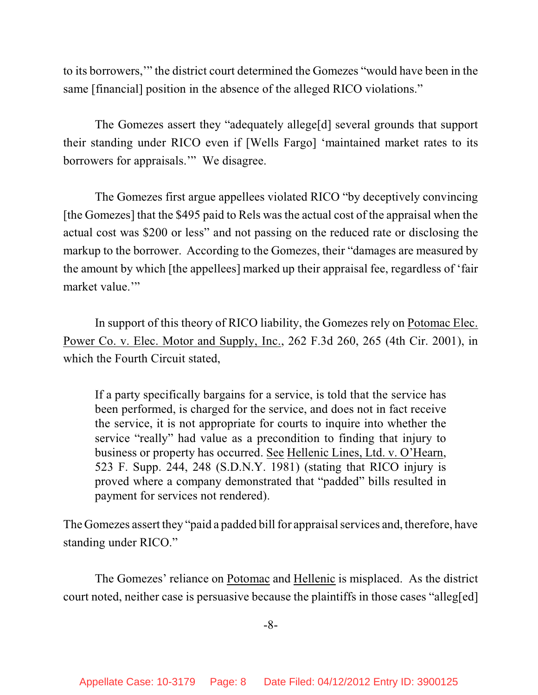to its borrowers,'" the district court determined the Gomezes "would have been in the same [financial] position in the absence of the alleged RICO violations."

The Gomezes assert they "adequately allege[d] several grounds that support their standing under RICO even if [Wells Fargo] 'maintained market rates to its borrowers for appraisals.'" We disagree.

The Gomezes first argue appellees violated RICO "by deceptively convincing [the Gomezes] that the \$495 paid to Rels was the actual cost of the appraisal when the actual cost was \$200 or less" and not passing on the reduced rate or disclosing the markup to the borrower. According to the Gomezes, their "damages are measured by the amount by which [the appellees] marked up their appraisal fee, regardless of 'fair market value."

In support of this theory of RICO liability, the Gomezes rely on Potomac Elec. Power Co. v. Elec. Motor and Supply, Inc., 262 F.3d 260, 265 (4th Cir. 2001), in which the Fourth Circuit stated,

If a party specifically bargains for a service, is told that the service has been performed, is charged for the service, and does not in fact receive the service, it is not appropriate for courts to inquire into whether the service "really" had value as a precondition to finding that injury to business or property has occurred. See Hellenic Lines, Ltd. v. O'Hearn, 523 F. Supp. 244, 248 (S.D.N.Y. 1981) (stating that RICO injury is proved where a company demonstrated that "padded" bills resulted in payment for services not rendered).

The Gomezes assert they "paid a padded bill for appraisal services and, therefore, have standing under RICO."

The Gomezes' reliance on Potomac and Hellenic is misplaced. As the district court noted, neither case is persuasive because the plaintiffs in those cases "alleg[ed]

-8-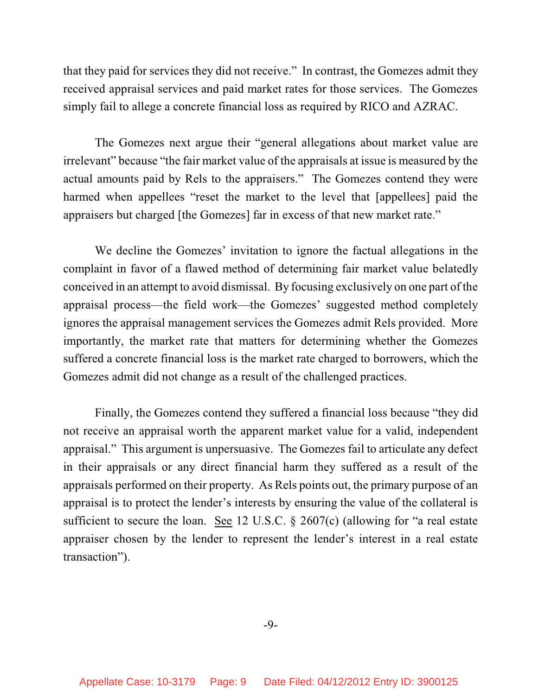that they paid for services they did not receive." In contrast, the Gomezes admit they received appraisal services and paid market rates for those services. The Gomezes simply fail to allege a concrete financial loss as required by RICO and AZRAC.

The Gomezes next argue their "general allegations about market value are irrelevant" because "the fair market value of the appraisals at issue is measured by the actual amounts paid by Rels to the appraisers." The Gomezes contend they were harmed when appellees "reset the market to the level that [appellees] paid the appraisers but charged [the Gomezes] far in excess of that new market rate."

We decline the Gomezes' invitation to ignore the factual allegations in the complaint in favor of a flawed method of determining fair market value belatedly conceived in an attempt to avoid dismissal. By focusing exclusively on one part of the appraisal process—the field work—the Gomezes' suggested method completely ignores the appraisal management services the Gomezes admit Rels provided. More importantly, the market rate that matters for determining whether the Gomezes suffered a concrete financial loss is the market rate charged to borrowers, which the Gomezes admit did not change as a result of the challenged practices.

Finally, the Gomezes contend they suffered a financial loss because "they did not receive an appraisal worth the apparent market value for a valid, independent appraisal." This argument is unpersuasive. The Gomezes fail to articulate any defect in their appraisals or any direct financial harm they suffered as a result of the appraisals performed on their property. As Rels points out, the primary purpose of an appraisal is to protect the lender's interests by ensuring the value of the collateral is sufficient to secure the loan. See 12 U.S.C. § 2607(c) (allowing for "a real estate appraiser chosen by the lender to represent the lender's interest in a real estate transaction").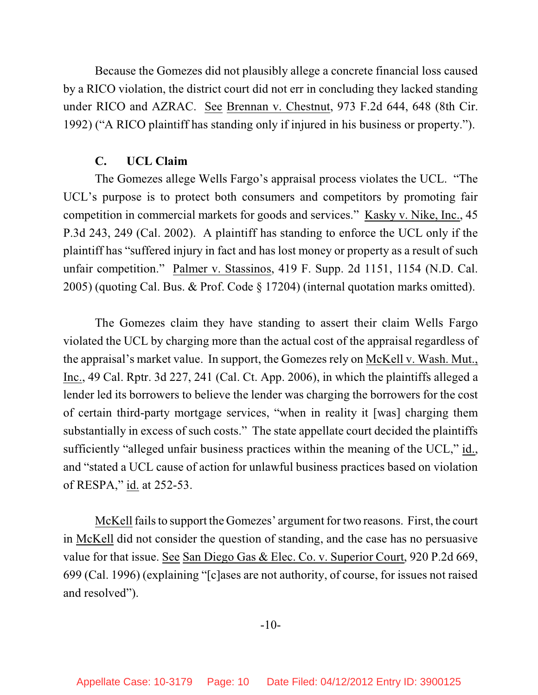Because the Gomezes did not plausibly allege a concrete financial loss caused by a RICO violation, the district court did not err in concluding they lacked standing under RICO and AZRAC. See Brennan v. Chestnut, 973 F.2d 644, 648 (8th Cir. 1992) ("A RICO plaintiff has standing only if injured in his business or property.").

#### **C. UCL Claim**

The Gomezes allege Wells Fargo's appraisal process violates the UCL. "The UCL's purpose is to protect both consumers and competitors by promoting fair competition in commercial markets for goods and services." Kasky v. Nike, Inc., 45 P.3d 243, 249 (Cal. 2002). A plaintiff has standing to enforce the UCL only if the plaintiff has "suffered injury in fact and has lost money or property as a result of such unfair competition." Palmer v. Stassinos, 419 F. Supp. 2d 1151, 1154 (N.D. Cal. 2005) (quoting Cal. Bus. & Prof. Code § 17204) (internal quotation marks omitted).

The Gomezes claim they have standing to assert their claim Wells Fargo violated the UCL by charging more than the actual cost of the appraisal regardless of the appraisal's market value. In support, the Gomezes rely on McKell v. Wash. Mut., Inc., 49 Cal. Rptr. 3d 227, 241 (Cal. Ct. App. 2006), in which the plaintiffs alleged a lender led its borrowers to believe the lender was charging the borrowers for the cost of certain third-party mortgage services, "when in reality it [was] charging them substantially in excess of such costs." The state appellate court decided the plaintiffs sufficiently "alleged unfair business practices within the meaning of the UCL," id., and "stated a UCL cause of action for unlawful business practices based on violation of RESPA," id. at 252-53.

McKell fails to support the Gomezes' argument for two reasons. First, the court in McKell did not consider the question of standing, and the case has no persuasive value for that issue. See San Diego Gas & Elec. Co. v. Superior Court, 920 P.2d 669, 699 (Cal. 1996) (explaining "[c]ases are not authority, of course, for issues not raised and resolved").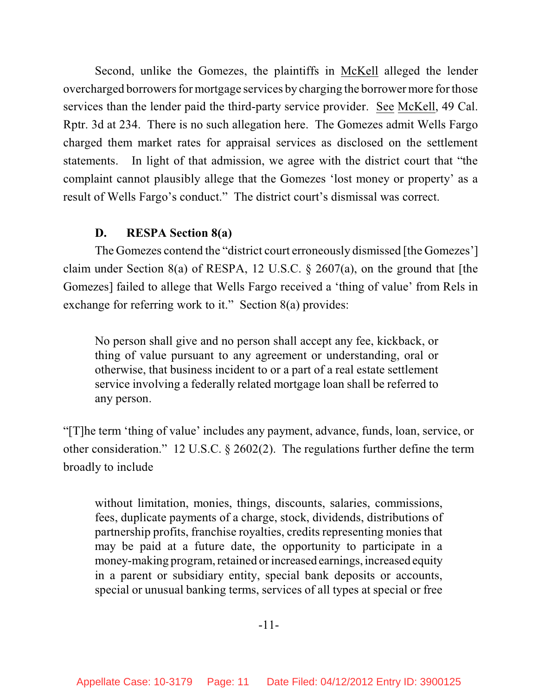Second, unlike the Gomezes, the plaintiffs in McKell alleged the lender overcharged borrowers for mortgage services by charging the borrower more for those services than the lender paid the third-party service provider. See McKell, 49 Cal. Rptr. 3d at 234. There is no such allegation here. The Gomezes admit Wells Fargo charged them market rates for appraisal services as disclosed on the settlement statements. In light of that admission, we agree with the district court that "the complaint cannot plausibly allege that the Gomezes 'lost money or property' as a result of Wells Fargo's conduct." The district court's dismissal was correct.

## **D. RESPA Section 8(a)**

The Gomezes contend the "district court erroneously dismissed [the Gomezes'] claim under Section 8(a) of RESPA, 12 U.S.C. § 2607(a), on the ground that [the Gomezes] failed to allege that Wells Fargo received a 'thing of value' from Rels in exchange for referring work to it." Section 8(a) provides:

No person shall give and no person shall accept any fee, kickback, or thing of value pursuant to any agreement or understanding, oral or otherwise, that business incident to or a part of a real estate settlement service involving a federally related mortgage loan shall be referred to any person.

"[T]he term 'thing of value' includes any payment, advance, funds, loan, service, or other consideration." 12 U.S.C. § 2602(2). The regulations further define the term broadly to include

without limitation, monies, things, discounts, salaries, commissions, fees, duplicate payments of a charge, stock, dividends, distributions of partnership profits, franchise royalties, credits representing monies that may be paid at a future date, the opportunity to participate in a money-making program, retained or increased earnings, increased equity in a parent or subsidiary entity, special bank deposits or accounts, special or unusual banking terms, services of all types at special or free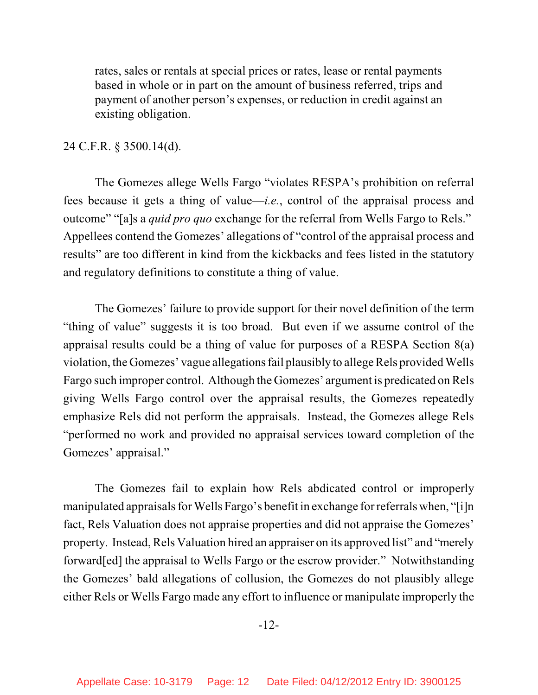rates, sales or rentals at special prices or rates, lease or rental payments based in whole or in part on the amount of business referred, trips and payment of another person's expenses, or reduction in credit against an existing obligation.

#### 24 C.F.R. § 3500.14(d).

The Gomezes allege Wells Fargo "violates RESPA's prohibition on referral fees because it gets a thing of value—*i.e.*, control of the appraisal process and outcome" "[a]s a *quid pro quo* exchange for the referral from Wells Fargo to Rels." Appellees contend the Gomezes' allegations of "control of the appraisal process and results" are too different in kind from the kickbacks and fees listed in the statutory and regulatory definitions to constitute a thing of value.

The Gomezes' failure to provide support for their novel definition of the term "thing of value" suggests it is too broad. But even if we assume control of the appraisal results could be a thing of value for purposes of a RESPA Section 8(a) violation, the Gomezes' vague allegations fail plausibly to allege Rels provided Wells Fargo such improper control. Although the Gomezes' argument is predicated on Rels giving Wells Fargo control over the appraisal results, the Gomezes repeatedly emphasize Rels did not perform the appraisals. Instead, the Gomezes allege Rels "performed no work and provided no appraisal services toward completion of the Gomezes' appraisal."

The Gomezes fail to explain how Rels abdicated control or improperly manipulated appraisals for Wells Fargo's benefit in exchange for referrals when, "[i]n fact, Rels Valuation does not appraise properties and did not appraise the Gomezes' property. Instead, Rels Valuation hired an appraiser on its approved list" and "merely forward[ed] the appraisal to Wells Fargo or the escrow provider." Notwithstanding the Gomezes' bald allegations of collusion, the Gomezes do not plausibly allege either Rels or Wells Fargo made any effort to influence or manipulate improperly the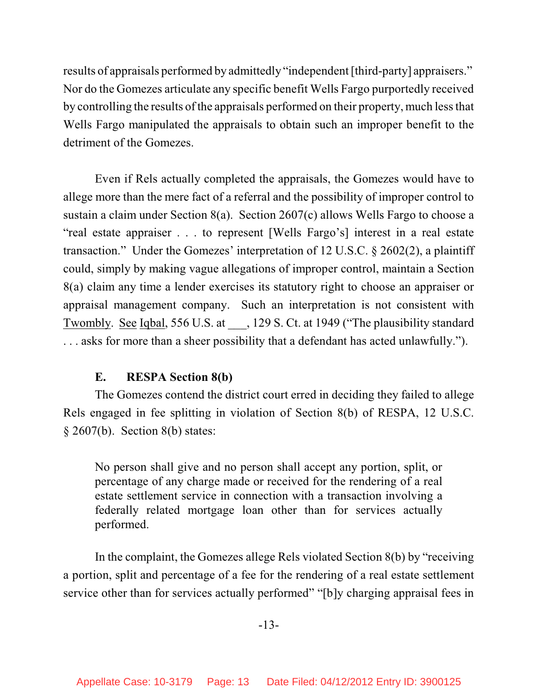results of appraisals performed by admittedly "independent [third-party] appraisers." Nor do the Gomezes articulate any specific benefit Wells Fargo purportedly received by controlling the results of the appraisals performed on their property, much less that Wells Fargo manipulated the appraisals to obtain such an improper benefit to the detriment of the Gomezes.

Even if Rels actually completed the appraisals, the Gomezes would have to allege more than the mere fact of a referral and the possibility of improper control to sustain a claim under Section 8(a). Section 2607(c) allows Wells Fargo to choose a "real estate appraiser . . . to represent [Wells Fargo's] interest in a real estate transaction." Under the Gomezes' interpretation of 12 U.S.C. § 2602(2), a plaintiff could, simply by making vague allegations of improper control, maintain a Section 8(a) claim any time a lender exercises its statutory right to choose an appraiser or appraisal management company. Such an interpretation is not consistent with Twombly. See Iqbal, 556 U.S. at \_\_\_, 129 S. Ct. at 1949 ("The plausibility standard . . . asks for more than a sheer possibility that a defendant has acted unlawfully.").

# **E. RESPA Section 8(b)**

The Gomezes contend the district court erred in deciding they failed to allege Rels engaged in fee splitting in violation of Section 8(b) of RESPA, 12 U.S.C. § 2607(b). Section 8(b) states:

No person shall give and no person shall accept any portion, split, or percentage of any charge made or received for the rendering of a real estate settlement service in connection with a transaction involving a federally related mortgage loan other than for services actually performed.

In the complaint, the Gomezes allege Rels violated Section 8(b) by "receiving a portion, split and percentage of a fee for the rendering of a real estate settlement service other than for services actually performed" "[b]y charging appraisal fees in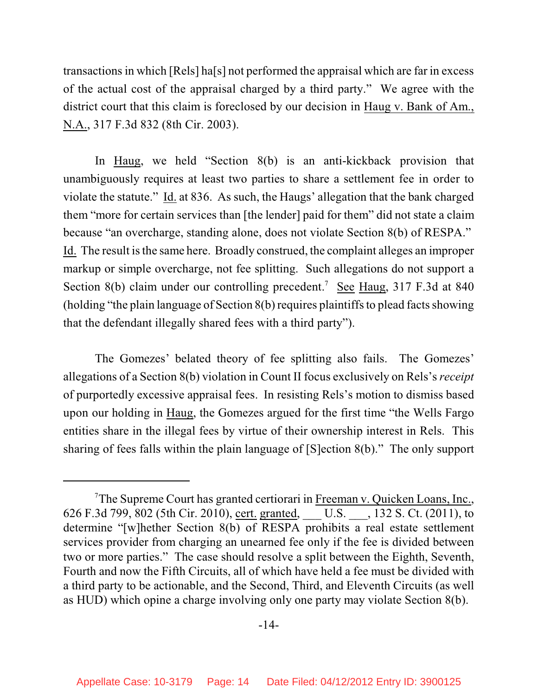transactions in which [Rels] ha[s] not performed the appraisal which are far in excess of the actual cost of the appraisal charged by a third party." We agree with the district court that this claim is foreclosed by our decision in Haug v. Bank of Am., N.A., 317 F.3d 832 (8th Cir. 2003).

In Haug, we held "Section 8(b) is an anti-kickback provision that unambiguously requires at least two parties to share a settlement fee in order to violate the statute." Id. at 836. As such, the Haugs' allegation that the bank charged them "more for certain services than [the lender] paid for them" did not state a claim because "an overcharge, standing alone, does not violate Section 8(b) of RESPA." Id. The result is the same here. Broadly construed, the complaint alleges an improper markup or simple overcharge, not fee splitting. Such allegations do not support a Section 8(b) claim under our controlling precedent.<sup>7</sup> See Haug, 317 F.3d at 840 (holding "the plain language of Section  $8(b)$  requires plaintiffs to plead facts showing that the defendant illegally shared fees with a third party").

The Gomezes' belated theory of fee splitting also fails. The Gomezes' allegations of a Section 8(b) violation in Count II focus exclusively on Rels's *receipt* of purportedly excessive appraisal fees. In resisting Rels's motion to dismiss based upon our holding in Haug, the Gomezes argued for the first time "the Wells Fargo entities share in the illegal fees by virtue of their ownership interest in Rels. This sharing of fees falls within the plain language of [S]ection 8(b)." The only support

<sup>&</sup>lt;sup>7</sup>The Supreme Court has granted certiorari in Freeman v. Quicken Loans, Inc., 626 F.3d 799, 802 (5th Cir. 2010), cert. granted, \_\_\_ U.S. \_\_\_, 132 S. Ct. (2011), to determine "[w]hether Section 8(b) of RESPA prohibits a real estate settlement services provider from charging an unearned fee only if the fee is divided between two or more parties." The case should resolve a split between the Eighth, Seventh, Fourth and now the Fifth Circuits, all of which have held a fee must be divided with a third party to be actionable, and the Second, Third, and Eleventh Circuits (as well as HUD) which opine a charge involving only one party may violate Section 8(b).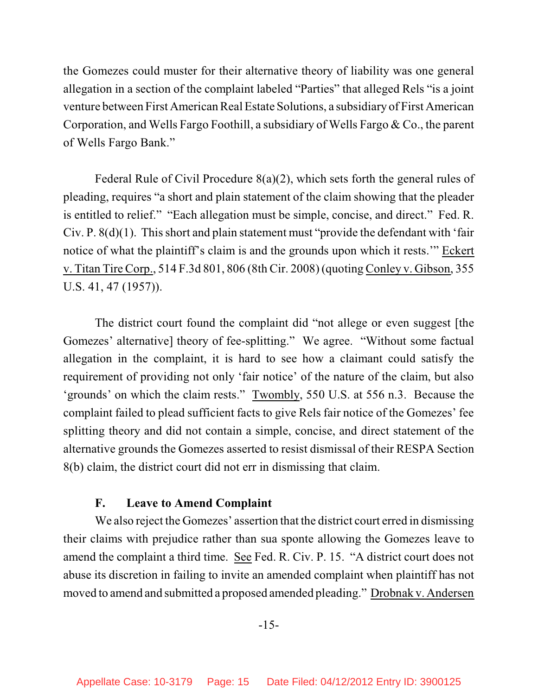the Gomezes could muster for their alternative theory of liability was one general allegation in a section of the complaint labeled "Parties" that alleged Rels "is a joint venture between First American Real Estate Solutions, a subsidiary of First American Corporation, and Wells Fargo Foothill, a subsidiary of Wells Fargo & Co., the parent of Wells Fargo Bank."

Federal Rule of Civil Procedure 8(a)(2), which sets forth the general rules of pleading, requires "a short and plain statement of the claim showing that the pleader is entitled to relief." "Each allegation must be simple, concise, and direct." Fed. R. Civ. P. 8(d)(1). This short and plain statement must "provide the defendant with 'fair notice of what the plaintiff's claim is and the grounds upon which it rests.'" Eckert v. Titan Tire Corp., 514 F.3d 801, 806 (8th Cir. 2008) (quoting Conley v. Gibson, 355 U.S. 41, 47 (1957)).

The district court found the complaint did "not allege or even suggest [the Gomezes' alternative] theory of fee-splitting." We agree. "Without some factual allegation in the complaint, it is hard to see how a claimant could satisfy the requirement of providing not only 'fair notice' of the nature of the claim, but also 'grounds' on which the claim rests." Twombly, 550 U.S. at 556 n.3. Because the complaint failed to plead sufficient facts to give Rels fair notice of the Gomezes' fee splitting theory and did not contain a simple, concise, and direct statement of the alternative grounds the Gomezes asserted to resist dismissal of their RESPA Section 8(b) claim, the district court did not err in dismissing that claim.

## **F. Leave to Amend Complaint**

We also reject the Gomezes' assertion that the district court erred in dismissing their claims with prejudice rather than sua sponte allowing the Gomezes leave to amend the complaint a third time. See Fed. R. Civ. P. 15. "A district court does not abuse its discretion in failing to invite an amended complaint when plaintiff has not moved to amend and submitted a proposed amended pleading." Drobnak v. Andersen